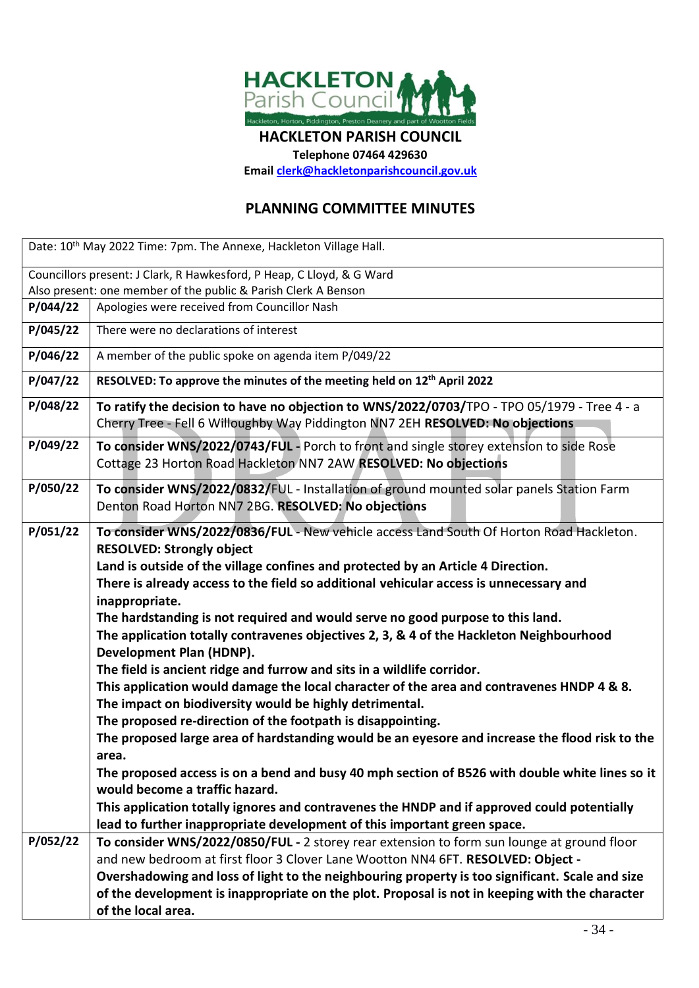

**HACKLETON PARISH COUNCIL**

**Telephone 07464 429630**

**Emai[l clerk@hackletonparishcouncil.gov.uk](mailto:clerk@hackletonparishcouncil.gov.uk)**

## **PLANNING COMMITTEE MINUTES**

| Date: 10th May 2022 Time: 7pm. The Annexe, Hackleton Village Hall.    |                                                                                                                                                                                                                                                                                                                                                                                                                                                                                                                                                                                                                                                                                                                                                                                                                                                                                                                                                                                                                                                                                                                                                                                                                                                                 |  |  |  |
|-----------------------------------------------------------------------|-----------------------------------------------------------------------------------------------------------------------------------------------------------------------------------------------------------------------------------------------------------------------------------------------------------------------------------------------------------------------------------------------------------------------------------------------------------------------------------------------------------------------------------------------------------------------------------------------------------------------------------------------------------------------------------------------------------------------------------------------------------------------------------------------------------------------------------------------------------------------------------------------------------------------------------------------------------------------------------------------------------------------------------------------------------------------------------------------------------------------------------------------------------------------------------------------------------------------------------------------------------------|--|--|--|
| Councillors present: J Clark, R Hawkesford, P Heap, C Lloyd, & G Ward |                                                                                                                                                                                                                                                                                                                                                                                                                                                                                                                                                                                                                                                                                                                                                                                                                                                                                                                                                                                                                                                                                                                                                                                                                                                                 |  |  |  |
| Also present: one member of the public & Parish Clerk A Benson        |                                                                                                                                                                                                                                                                                                                                                                                                                                                                                                                                                                                                                                                                                                                                                                                                                                                                                                                                                                                                                                                                                                                                                                                                                                                                 |  |  |  |
| P/044/22                                                              | Apologies were received from Councillor Nash                                                                                                                                                                                                                                                                                                                                                                                                                                                                                                                                                                                                                                                                                                                                                                                                                                                                                                                                                                                                                                                                                                                                                                                                                    |  |  |  |
| P/045/22                                                              | There were no declarations of interest                                                                                                                                                                                                                                                                                                                                                                                                                                                                                                                                                                                                                                                                                                                                                                                                                                                                                                                                                                                                                                                                                                                                                                                                                          |  |  |  |
| P/046/22                                                              | A member of the public spoke on agenda item P/049/22                                                                                                                                                                                                                                                                                                                                                                                                                                                                                                                                                                                                                                                                                                                                                                                                                                                                                                                                                                                                                                                                                                                                                                                                            |  |  |  |
| P/047/22                                                              | RESOLVED: To approve the minutes of the meeting held on 12 <sup>th</sup> April 2022                                                                                                                                                                                                                                                                                                                                                                                                                                                                                                                                                                                                                                                                                                                                                                                                                                                                                                                                                                                                                                                                                                                                                                             |  |  |  |
| P/048/22                                                              | To ratify the decision to have no objection to WNS/2022/0703/TPO - TPO 05/1979 - Tree 4 - a<br>Cherry Tree - Fell 6 Willoughby Way Piddington NN7 2EH RESOLVED: No objections                                                                                                                                                                                                                                                                                                                                                                                                                                                                                                                                                                                                                                                                                                                                                                                                                                                                                                                                                                                                                                                                                   |  |  |  |
| P/049/22                                                              | To consider WNS/2022/0743/FUL - Porch to front and single storey extension to side Rose<br>Cottage 23 Horton Road Hackleton NN7 2AW RESOLVED: No objections                                                                                                                                                                                                                                                                                                                                                                                                                                                                                                                                                                                                                                                                                                                                                                                                                                                                                                                                                                                                                                                                                                     |  |  |  |
| P/050/22                                                              | To consider WNS/2022/0832/FUL - Installation of ground mounted solar panels Station Farm<br>Denton Road Horton NN7 2BG. RESOLVED: No objections                                                                                                                                                                                                                                                                                                                                                                                                                                                                                                                                                                                                                                                                                                                                                                                                                                                                                                                                                                                                                                                                                                                 |  |  |  |
| P/051/22                                                              | To consider WNS/2022/0836/FUL - New vehicle access Land South Of Horton Road Hackleton.<br><b>RESOLVED: Strongly object</b><br>Land is outside of the village confines and protected by an Article 4 Direction.<br>There is already access to the field so additional vehicular access is unnecessary and<br>inappropriate.<br>The hardstanding is not required and would serve no good purpose to this land.<br>The application totally contravenes objectives 2, 3, & 4 of the Hackleton Neighbourhood<br>Development Plan (HDNP).<br>The field is ancient ridge and furrow and sits in a wildlife corridor.<br>This application would damage the local character of the area and contravenes HNDP 4 & 8.<br>The impact on biodiversity would be highly detrimental.<br>The proposed re-direction of the footpath is disappointing.<br>The proposed large area of hardstanding would be an eyesore and increase the flood risk to the<br>area.<br>The proposed access is on a bend and busy 40 mph section of B526 with double white lines so it<br>would become a traffic hazard.<br>This application totally ignores and contravenes the HNDP and if approved could potentially<br>lead to further inappropriate development of this important green space. |  |  |  |
| P/052/22                                                              | To consider WNS/2022/0850/FUL - 2 storey rear extension to form sun lounge at ground floor<br>and new bedroom at first floor 3 Clover Lane Wootton NN4 6FT. RESOLVED: Object -<br>Overshadowing and loss of light to the neighbouring property is too significant. Scale and size<br>of the development is inappropriate on the plot. Proposal is not in keeping with the character<br>of the local area.                                                                                                                                                                                                                                                                                                                                                                                                                                                                                                                                                                                                                                                                                                                                                                                                                                                       |  |  |  |